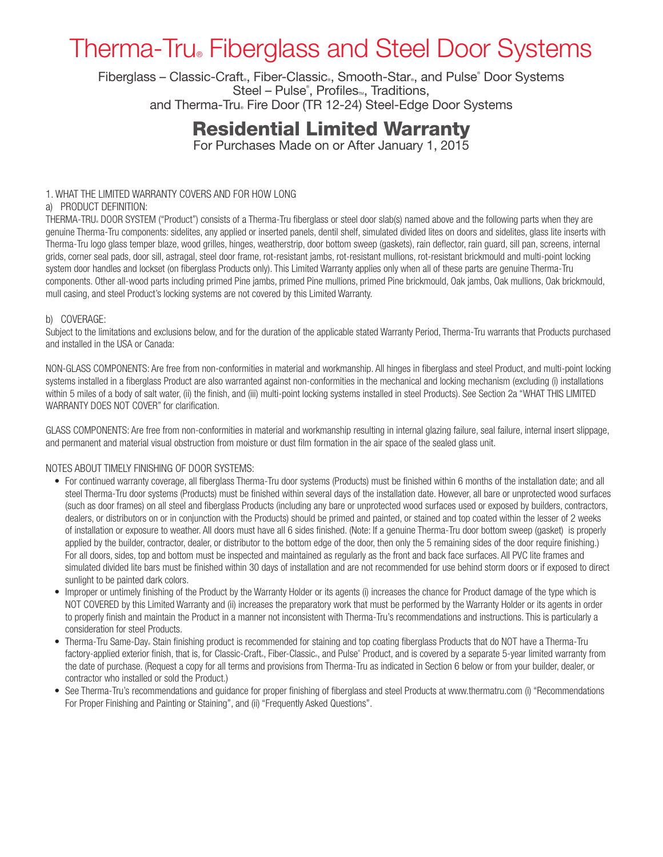# Therma-Tru® Fiberglass and Steel Door Systems

Fiberglass – Classic-Craft., Fiber-Classic., Smooth-Star., and Pulse® Door Systems Steel – Pulse®, Profiles<sup>m</sup>, Traditions, and Therma-Tru Fire Door (TR 12-24) Steel-Edge Door Systems

## Residential Limited Warranty

For Purchases Made on or After January 1, 2015

### 1. WHAT THE LIMITED WARRANTY COVERS AND FOR HOW LONG

### a) PRODUCT DEFINITION:

THERMA-TRU® DOOR SYSTEM ("Product") consists of a Therma-Tru fiberglass or steel door slab(s) named above and the following parts when they are genuine Therma-Tru components: sidelites, any applied or inserted panels, dentil shelf, simulated divided lites on doors and sidelites, glass lite inserts with Therma-Tru logo glass temper blaze, wood grilles, hinges, weatherstrip, door bottom sweep (gaskets), rain deflector, rain guard, sill pan, screens, internal grids, corner seal pads, door sill, astragal, steel door frame, rot-resistant jambs, rot-resistant mullions, rot-resistant brickmould and multi-point locking system door handles and lockset (on fiberglass Products only). This Limited Warranty applies only when all of these parts are genuine Therma-Tru components. Other all-wood parts including primed Pine jambs, primed Pine mullions, primed Pine brickmould, Oak jambs, Oak mullions, Oak brickmould, mull casing, and steel Product's locking systems are not covered by this Limited Warranty.

### b) COVERAGE:

Subject to the limitations and exclusions below, and for the duration of the applicable stated Warranty Period, Therma-Tru warrants that Products purchased and installed in the USA or Canada:

NON-GLASS COMPONENTS: Are free from non-conformities in material and workmanship. All hinges in fiberglass and steel Product, and multi-point locking systems installed in a fiberglass Product are also warranted against non-conformities in the mechanical and locking mechanism (excluding (i) installations within 5 miles of a body of salt water, (ii) the finish, and (iii) multi-point locking systems installed in steel Products). See Section 2a "WHAT THIS LIMITED WARRANTY DOES NOT COVER" for clarification.

GLASS COMPONENTS: Are free from non-conformities in material and workmanship resulting in internal glazing failure, seal failure, internal insert slippage, and permanent and material visual obstruction from moisture or dust film formation in the air space of the sealed glass unit.

### NOTES ABOUT TIMELY FINISHING OF DOOR SYSTEMS:

- For continued warranty coverage, all fiberglass Therma-Tru door systems (Products) must be finished within 6 months of the installation date; and all steel Therma-Tru door systems (Products) must be finished within several days of the installation date. However, all bare or unprotected wood surfaces (such as door frames) on all steel and fiberglass Products (including any bare or unprotected wood surfaces used or exposed by builders, contractors, dealers, or distributors on or in conjunction with the Products) should be primed and painted, or stained and top coated within the lesser of 2 weeks of installation or exposure to weather. All doors must have all 6 sides finished. (Note: If a genuine Therma-Tru door bottom sweep (gasket) is properly applied by the builder, contractor, dealer, or distributor to the bottom edge of the door, then only the 5 remaining sides of the door require finishing.) For all doors, sides, top and bottom must be inspected and maintained as regularly as the front and back face surfaces. All PVC lite frames and simulated divided lite bars must be finished within 30 days of installation and are not recommended for use behind storm doors or if exposed to direct sunlight to be painted dark colors.
- Improper or untimely finishing of the Product by the Warranty Holder or its agents (i) increases the chance for Product damage of the type which is NOT COVERED by this Limited Warranty and (ii) increases the preparatory work that must be performed by the Warranty Holder or its agents in order to properly finish and maintain the Product in a manner not inconsistent with Therma-Tru's recommendations and instructions. This is particularly a consideration for steel Products.
- Therma-Tru Same-Day. Stain finishing product is recommended for staining and top coating fiberglass Products that do NOT have a Therma-Tru factory-applied exterior finish, that is, for Classic-Craft., Fiber-Classic., and Pulse® Product, and is covered by a separate 5-year limited warranty from the date of purchase. (Request a copy for all terms and provisions from Therma-Tru as indicated in Section 6 below or from your builder, dealer, or contractor who installed or sold the Product.)
- See Therma-Tru's recommendations and guidance for proper finishing of fiberglass and steel Products at www.thermatru.com (i) "Recommendations For Proper Finishing and Painting or Staining", and (ii) "Frequently Asked Questions".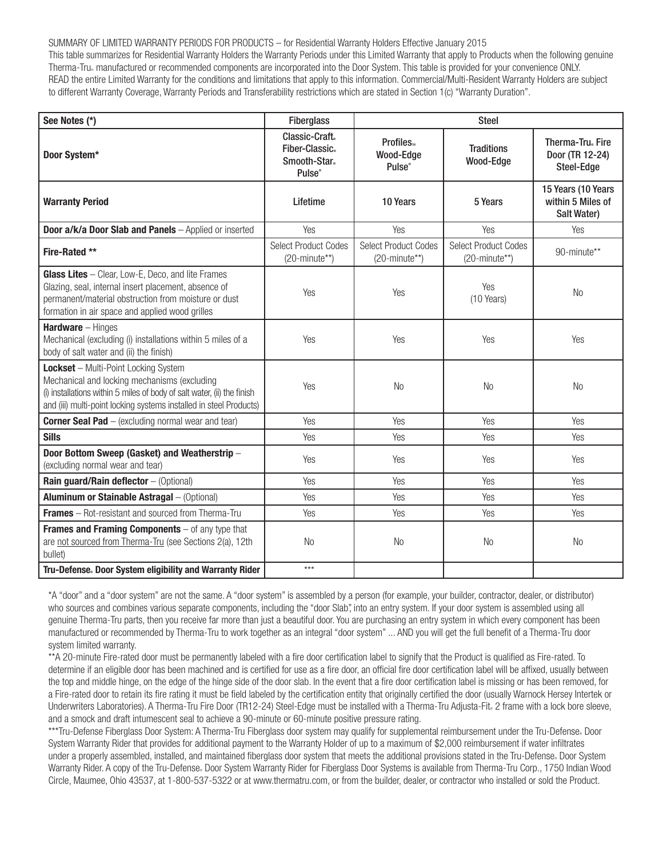SUMMARY OF LIMITED WARRANTY PERIODS FOR PRODUCTS – for Residential Warranty Holders Effective January 2015 This table summarizes for Residential Warranty Holders the Warranty Periods under this Limited Warranty that apply to Products when the following genuine Therma-Tru® manufactured or recommended components are incorporated into the Door System. This table is provided for your convenience ONLY. READ the entire Limited Warranty for the conditions and limitations that apply to this information. Commercial/Multi-Resident Warranty Holders are subject to different Warranty Coverage, Warranty Periods and Transferability restrictions which are stated in Section 1(c) "Warranty Duration".

| See Notes (*)                                                                                                                                                                                                                                | <b>Fiberglass</b>                                          | <b>Steel</b>                                          |                                                          |                                                        |
|----------------------------------------------------------------------------------------------------------------------------------------------------------------------------------------------------------------------------------------------|------------------------------------------------------------|-------------------------------------------------------|----------------------------------------------------------|--------------------------------------------------------|
| Door System*                                                                                                                                                                                                                                 | Classic-Craft.<br>Fiber-Classic.<br>Smooth-Star.<br>Pulse® | Profiles <sub>w</sub><br>Wood-Edge<br>Pulse®          | <b>Traditions</b><br>Wood-Edge                           | Therma-Tru. Fire<br>Door (TR 12-24)<br>Steel-Edge      |
| <b>Warranty Period</b>                                                                                                                                                                                                                       | Lifetime                                                   | 10 Years                                              | 5 Years                                                  | 15 Years (10 Years<br>within 5 Miles of<br>Salt Water) |
| Door a/k/a Door Slab and Panels - Applied or inserted                                                                                                                                                                                        | Yes                                                        | Yes                                                   | Yes                                                      | Yes                                                    |
| Fire-Rated **                                                                                                                                                                                                                                | <b>Select Product Codes</b><br>$(20\text{-minute**})$      | <b>Select Product Codes</b><br>$(20\text{-minute**})$ | <b>Select Product Codes</b><br>$(20\text{-minute}^{**})$ | 90-minute**                                            |
| <b>Glass Lites</b> - Clear, Low-E, Deco, and lite Frames<br>Glazing, seal, internal insert placement, absence of<br>permanent/material obstruction from moisture or dust<br>formation in air space and applied wood grilles                  | Yes                                                        | Yes                                                   | Yes<br>(10 Years)                                        | N <sub>0</sub>                                         |
| Hardware - Hinges<br>Mechanical (excluding (i) installations within 5 miles of a<br>body of salt water and (ii) the finish)                                                                                                                  | Yes                                                        | Yes                                                   | Yes                                                      | Yes                                                    |
| <b>Lockset</b> - Multi-Point Locking System<br>Mechanical and locking mechanisms (excluding<br>(i) installations within 5 miles of body of salt water, (ii) the finish<br>and (iii) multi-point locking systems installed in steel Products) | Yes                                                        | N <sub>0</sub>                                        | <b>No</b>                                                | <b>No</b>                                              |
| <b>Corner Seal Pad</b> - (excluding normal wear and tear)                                                                                                                                                                                    | Yes                                                        | Yes                                                   | Yes                                                      | Yes                                                    |
| <b>Sills</b>                                                                                                                                                                                                                                 | Yes                                                        | Yes                                                   | Yes                                                      | Yes                                                    |
| Door Bottom Sweep (Gasket) and Weatherstrip -<br>(excluding normal wear and tear)                                                                                                                                                            | Yes                                                        | Yes                                                   | Yes                                                      | Yes                                                    |
| Rain guard/Rain deflector - (Optional)                                                                                                                                                                                                       | Yes                                                        | Yes                                                   | Yes                                                      | Yes                                                    |
| Aluminum or Stainable Astragal - (Optional)                                                                                                                                                                                                  | Yes                                                        | Yes                                                   | Yes                                                      | Yes                                                    |
| <b>Frames</b> – Rot-resistant and sourced from Therma-Tru                                                                                                                                                                                    | Yes                                                        | Yes                                                   | Yes                                                      | Yes                                                    |
| <b>Frames and Framing Components</b> $-$ of any type that<br>are not sourced from Therma-Tru (see Sections 2(a), 12th<br>bullet)                                                                                                             | N <sub>o</sub>                                             | <b>No</b>                                             | <b>No</b>                                                | <b>No</b>                                              |
| Tru-Defense. Door System eligibility and Warranty Rider                                                                                                                                                                                      | $***$                                                      |                                                       |                                                          |                                                        |

\*A "door" and a "door system" are not the same. A "door system" is assembled by a person (for example, your builder, contractor, dealer, or distributor) who sources and combines various separate components, including the "door Slab", into an entry system. If your door system is assembled using all genuine Therma-Tru parts, then you receive far more than just a beautiful door. You are purchasing an entry system in which every component has been manufactured or recommended by Therma-Tru to work together as an integral "door system" ... AND you will get the full benefit of a Therma-Tru door system limited warranty.

\*\*A 20-minute Fire-rated door must be permanently labeled with a fire door certification label to signify that the Product is qualified as Fire-rated. To determine if an eligible door has been machined and is certified for use as a fire door, an official fire door certification label will be affixed, usually between the top and middle hinge, on the edge of the hinge side of the door slab. In the event that a fire door certification label is missing or has been removed, for a Fire-rated door to retain its fire rating it must be field labeled by the certification entity that originally certified the door (usually Warnock Hersey Intertek or Underwriters Laboratories). A Therma-Tru Fire Door (TR12-24) Steel-Edge must be installed with a Therma-Tru Adjusta-Fit. 2 frame with a lock bore sleeve, and a smock and draft intumescent seal to achieve a 90-minute or 60-minute positive pressure rating.

\*\*\*Tru-Defense Fiberglass Door System: A Therma-Tru Fiberglass door system may qualify for supplemental reimbursement under the Tru-Defense. Door System Warranty Rider that provides for additional payment to the Warranty Holder of up to a maximum of \$2,000 reimbursement if water infiltrates under a properly assembled, installed, and maintained fiberglass door system that meets the additional provisions stated in the Tru-Defense. Door System Warranty Rider. A copy of the Tru-Defense. Door System Warranty Rider for Fiberglass Door Systems is available from Therma-Tru Corp., 1750 Indian Wood Circle, Maumee, Ohio 43537, at 1-800-537-5322 or at www.thermatru.com, or from the builder, dealer, or contractor who installed or sold the Product.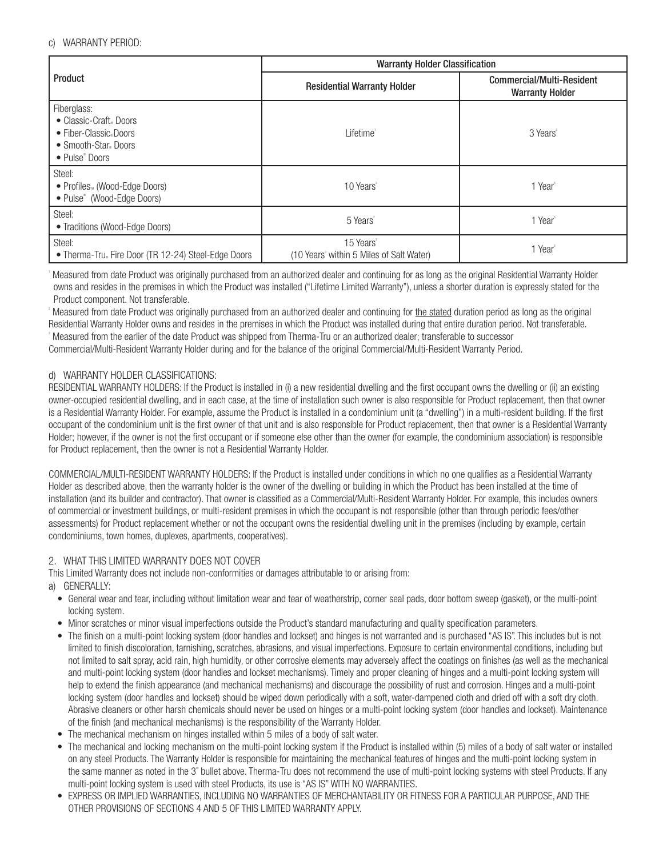### c) WARRANTY PERIOD:

|                                                                                                                    | <b>Warranty Holder Classification</b>                                         |                                                     |  |
|--------------------------------------------------------------------------------------------------------------------|-------------------------------------------------------------------------------|-----------------------------------------------------|--|
| Product                                                                                                            | <b>Residential Warranty Holder</b>                                            | Commercial/Multi-Resident<br><b>Warranty Holder</b> |  |
| Fiberglass:<br>• Classic-Craft Doors<br>• Fiber-Classic Doors<br>• Smooth-Star Doors<br>• Pulse <sup>®</sup> Doors | Lifetime <sup>®</sup>                                                         | 3 Years <sup>3</sup>                                |  |
| Steel:<br>• Profiles <sub>104</sub> (Wood-Edge Doors)<br>• Pulse® (Wood-Edge Doors)                                | 10 Years <sup>2</sup>                                                         | 1 Year <sup>®</sup>                                 |  |
| Steel:<br>• Traditions (Wood-Edge Doors)                                                                           | 5 Years <sup>2</sup>                                                          | 1 Year <sup>®</sup>                                 |  |
| Steel:<br>• Therma-Tru. Fire Door (TR 12-24) Steel-Edge Doors                                                      | 15 Years <sup>2</sup><br>(10 Years <sup>2</sup> within 5 Miles of Salt Water) | 1 Year <sup>®</sup>                                 |  |

 Measured from date Product was originally purchased from an authorized dealer and continuing for as long as the original Residential Warranty Holder owns and resides in the premises in which the Product was installed ("Lifetime Limited Warranty"), unless a shorter duration is expressly stated for the Product component. Not transferable.

Measured from date Product was originally purchased from an authorized dealer and continuing for the stated duration period as long as the original Residential Warranty Holder owns and resides in the premises in which the Product was installed during that entire duration period. Not transferable. 3 Measured from the earlier of the date Product was shipped from Therma-Tru or an authorized dealer; transferable to successor Commercial/Multi-Resident Warranty Holder during and for the balance of the original Commercial/Multi-Resident Warranty Period.

### d) WARRANTY HOLDER CLASSIFICATIONS:

RESIDENTIAL WARRANTY HOLDERS: If the Product is installed in (i) a new residential dwelling and the first occupant owns the dwelling or (ii) an existing owner-occupied residential dwelling, and in each case, at the time of installation such owner is also responsible for Product replacement, then that owner is a Residential Warranty Holder. For example, assume the Product is installed in a condominium unit (a "dwelling") in a multi-resident building. If the first occupant of the condominium unit is the first owner of that unit and is also responsible for Product replacement, then that owner is a Residential Warranty Holder; however, if the owner is not the first occupant or if someone else other than the owner (for example, the condominium association) is responsible for Product replacement, then the owner is not a Residential Warranty Holder.

COMMERCIAL/MULTI-RESIDENT WARRANTY HOLDERS: If the Product is installed under conditions in which no one qualifies as a Residential Warranty Holder as described above, then the warranty holder is the owner of the dwelling or building in which the Product has been installed at the time of installation (and its builder and contractor). That owner is classified as a Commercial/Multi-Resident Warranty Holder. For example, this includes owners of commercial or investment buildings, or multi-resident premises in which the occupant is not responsible (other than through periodic fees/other assessments) for Product replacement whether or not the occupant owns the residential dwelling unit in the premises (including by example, certain condominiums, town homes, duplexes, apartments, cooperatives).

### 2. WHAT THIS LIMITED WARRANTY DOES NOT COVER

This Limited Warranty does not include non-conformities or damages attributable to or arising from:

a) GENERALLY:

- General wear and tear, including without limitation wear and tear of weatherstrip, corner seal pads, door bottom sweep (gasket), or the multi-point locking system.
- Minor scratches or minor visual imperfections outside the Product's standard manufacturing and quality specification parameters.
- The finish on a multi-point locking system (door handles and lockset) and hinges is not warranted and is purchased "AS IS". This includes but is not limited to finish discoloration, tarnishing, scratches, abrasions, and visual imperfections. Exposure to certain environmental conditions, including but not limited to salt spray, acid rain, high humidity, or other corrosive elements may adversely affect the coatings on finishes (as well as the mechanical and multi-point locking system (door handles and lockset mechanisms). Timely and proper cleaning of hinges and a multi-point locking system will help to extend the finish appearance (and mechanical mechanisms) and discourage the possibility of rust and corrosion. Hinges and a multi-point locking system (door handles and lockset) should be wiped down periodically with a soft, water-dampened cloth and dried off with a soft dry cloth. Abrasive cleaners or other harsh chemicals should never be used on hinges or a multi-point locking system (door handles and lockset). Maintenance of the finish (and mechanical mechanisms) is the responsibility of the Warranty Holder.
- The mechanical mechanism on hinges installed within 5 miles of a body of salt water.
- The mechanical and locking mechanism on the multi-point locking system if the Product is installed within (5) miles of a body of salt water or installed on any steel Products. The Warranty Holder is responsible for maintaining the mechanical features of hinges and the multi-point locking system in the same manner as noted in the 3<sup>+</sup> bullet above. Therma-Tru does not recommend the use of multi-point locking systems with steel Products. If any multi-point locking system is used with steel Products, its use is "AS IS" WITH NO WARRANTIES.
- EXPRESS OR IMPLIED WARRANTIES, INCLUDING NO WARRANTIES OF MERCHANTABILITY OR FITNESS FOR A PARTICULAR PURPOSE, AND THE OTHER PROVISIONS OF SECTIONS 4 AND 5 OF THIS LIMITED WARRANTY APPLY.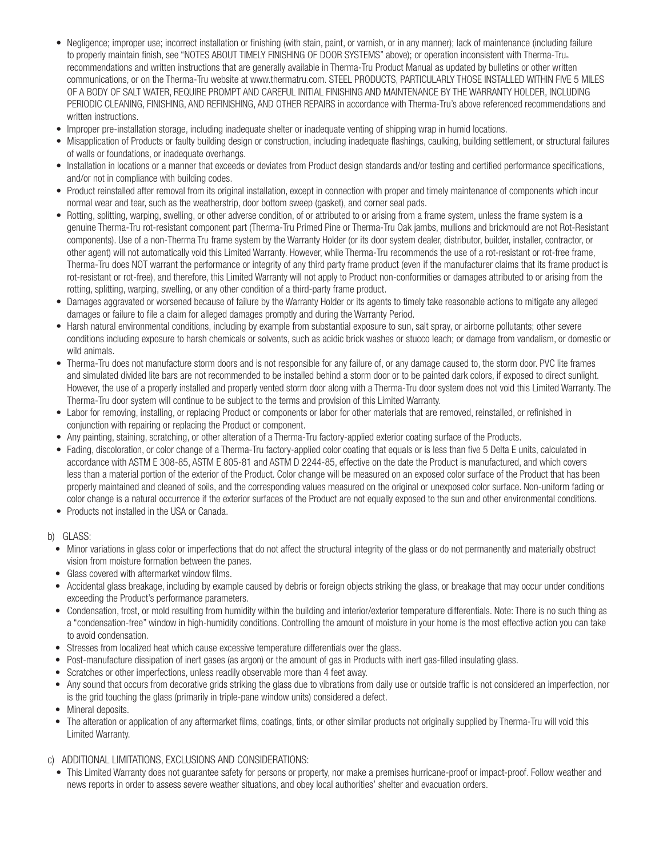- Negligence; improper use; incorrect installation or finishing (with stain, paint, or varnish, or in any manner); lack of maintenance (including failure to properly maintain finish, see "NOTES ABOUT TIMELY FINISHING OF DOOR SYSTEMS" above); or operation inconsistent with Therma-Tru® recommendations and written instructions that are generally available in Therma-Tru Product Manual as updated by bulletins or other written communications, or on the Therma-Tru website at www.thermatru.com. STEEL PRODUCTS, PARTICULARLY THOSE INSTALLED WITHIN FIVE 5 MILES OF A BODY OF SALT WATER, REQUIRE PROMPT AND CAREFUL INITIAL FINISHING AND MAINTENANCE BY THE WARRANTY HOLDER, INCLUDING PERIODIC CLEANING, FINISHING, AND REFINISHING, AND OTHER REPAIRS in accordance with Therma-Tru's above referenced recommendations and written instructions.
- Improper pre-installation storage, including inadequate shelter or inadequate venting of shipping wrap in humid locations.
- Misapplication of Products or faulty building design or construction, including inadequate flashings, caulking, building settlement, or structural failures of walls or foundations, or inadequate overhangs.
- Installation in locations or a manner that exceeds or deviates from Product design standards and/or testing and certified performance specifications, and/or not in compliance with building codes.
- Product reinstalled after removal from its original installation, except in connection with proper and timely maintenance of components which incur normal wear and tear, such as the weatherstrip, door bottom sweep (gasket), and corner seal pads.
- Rotting, splitting, warping, swelling, or other adverse condition, of or attributed to or arising from a frame system, unless the frame system is a genuine Therma-Tru rot-resistant component part (Therma-Tru Primed Pine or Therma-Tru Oak jambs, mullions and brickmould are not Rot-Resistant components). Use of a non-Therma Tru frame system by the Warranty Holder (or its door system dealer, distributor, builder, installer, contractor, or other agent) will not automatically void this Limited Warranty. However, while Therma-Tru recommends the use of a rot-resistant or rot-free frame, Therma-Tru does NOT warrant the performance or integrity of any third party frame product (even if the manufacturer claims that its frame product is rot-resistant or rot-free), and therefore, this Limited Warranty will not apply to Product non-conformities or damages attributed to or arising from the rotting, splitting, warping, swelling, or any other condition of a third-party frame product.
- Damages aggravated or worsened because of failure by the Warranty Holder or its agents to timely take reasonable actions to mitigate any alleged damages or failure to file a claim for alleged damages promptly and during the Warranty Period.
- Harsh natural environmental conditions, including by example from substantial exposure to sun, salt spray, or airborne pollutants; other severe conditions including exposure to harsh chemicals or solvents, such as acidic brick washes or stucco leach; or damage from vandalism, or domestic or wild animals.
- Therma-Tru does not manufacture storm doors and is not responsible for any failure of, or any damage caused to, the storm door. PVC lite frames and simulated divided lite bars are not recommended to be installed behind a storm door or to be painted dark colors, if exposed to direct sunlight. However, the use of a properly installed and properly vented storm door along with a Therma-Tru door system does not void this Limited Warranty. The Therma-Tru door system will continue to be subject to the terms and provision of this Limited Warranty.
- Labor for removing, installing, or replacing Product or components or labor for other materials that are removed, reinstalled, or refinished in conjunction with repairing or replacing the Product or component.
- Any painting, staining, scratching, or other alteration of a Therma-Tru factory-applied exterior coating surface of the Products.
- Fading, discoloration, or color change of a Therma-Tru factory-applied color coating that equals or is less than five 5 Delta E units, calculated in accordance with ASTM E 308-85, ASTM E 805-81 and ASTM D 2244-85, effective on the date the Product is manufactured, and which covers less than a material portion of the exterior of the Product. Color change will be measured on an exposed color surface of the Product that has been properly maintained and cleaned of soils, and the corresponding values measured on the original or unexposed color surface. Non-uniform fading or color change is a natural occurrence if the exterior surfaces of the Product are not equally exposed to the sun and other environmental conditions.
- Products not installed in the USA or Canada.
- b) GLASS:
	- Minor variations in glass color or imperfections that do not affect the structural integrity of the glass or do not permanently and materially obstruct vision from moisture formation between the panes.
	- Glass covered with aftermarket window films.
	- Accidental glass breakage, including by example caused by debris or foreign objects striking the glass, or breakage that may occur under conditions exceeding the Product's performance parameters.
	- Condensation, frost, or mold resulting from humidity within the building and interior/exterior temperature differentials. Note: There is no such thing as a "condensation-free" window in high-humidity conditions. Controlling the amount of moisture in your home is the most effective action you can take to avoid condensation.
	- Stresses from localized heat which cause excessive temperature differentials over the glass.
	- Post-manufacture dissipation of inert gases (as argon) or the amount of gas in Products with inert gas-filled insulating glass.
	- Scratches or other imperfections, unless readily observable more than 4 feet away.
	- Any sound that occurs from decorative grids striking the glass due to vibrations from daily use or outside traffic is not considered an imperfection, nor is the grid touching the glass (primarily in triple-pane window units) considered a defect.
	- Mineral deposits.
	- The alteration or application of any aftermarket films, coatings, tints, or other similar products not originally supplied by Therma-Tru will void this Limited Warranty.
- c) ADDITIONAL LIMITATIONS, EXCLUSIONS AND CONSIDERATIONS:
	- This Limited Warranty does not guarantee safety for persons or property, nor make a premises hurricane-proof or impact-proof. Follow weather and news reports in order to assess severe weather situations, and obey local authorities' shelter and evacuation orders.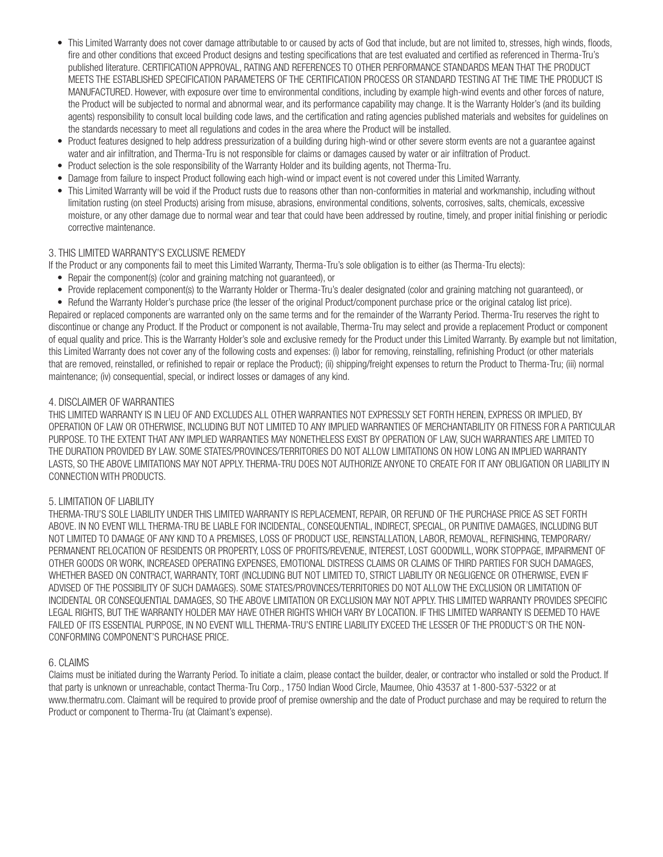- This Limited Warranty does not cover damage attributable to or caused by acts of God that include, but are not limited to, stresses, high winds, floods, fire and other conditions that exceed Product designs and testing specifications that are test evaluated and certified as referenced in Therma-Tru's published literature. CERTIFICATION APPROVAL, RATING AND REFERENCES TO OTHER PERFORMANCE STANDARDS MEAN THAT THE PRODUCT MEETS THE ESTABLISHED SPECIFICATION PARAMETERS OF THE CERTIFICATION PROCESS OR STANDARD TESTING AT THE TIME THE PRODUCT IS MANUFACTURED. However, with exposure over time to environmental conditions, including by example high-wind events and other forces of nature, the Product will be subjected to normal and abnormal wear, and its performance capability may change. It is the Warranty Holder's (and its building agents) responsibility to consult local building code laws, and the certification and rating agencies published materials and websites for guidelines on the standards necessary to meet all regulations and codes in the area where the Product will be installed.
- Product features designed to help address pressurization of a building during high-wind or other severe storm events are not a guarantee against water and air infiltration, and Therma-Tru is not responsible for claims or damages caused by water or air infiltration of Product.
- Product selection is the sole responsibility of the Warranty Holder and its building agents, not Therma-Tru.
- Damage from failure to inspect Product following each high-wind or impact event is not covered under this Limited Warranty.
- This Limited Warranty will be void if the Product rusts due to reasons other than non-conformities in material and workmanship, including without limitation rusting (on steel Products) arising from misuse, abrasions, environmental conditions, solvents, corrosives, salts, chemicals, excessive moisture, or any other damage due to normal wear and tear that could have been addressed by routine, timely, and proper initial finishing or periodic corrective maintenance.

### 3. THIS LIMITED WARRANTY'S EXCLUSIVE REMEDY

If the Product or any components fail to meet this Limited Warranty, Therma-Tru's sole obligation is to either (as Therma-Tru elects):

- Repair the component(s) (color and graining matching not guaranteed), or
- Provide replacement component(s) to the Warranty Holder or Therma-Tru's dealer designated (color and graining matching not guaranteed), or

• Refund the Warranty Holder's purchase price (the lesser of the original Product/component purchase price or the original catalog list price). Repaired or replaced components are warranted only on the same terms and for the remainder of the Warranty Period. Therma-Tru reserves the right to discontinue or change any Product. If the Product or component is not available, Therma-Tru may select and provide a replacement Product or component of equal quality and price. This is the Warranty Holder's sole and exclusive remedy for the Product under this Limited Warranty. By example but not limitation, this Limited Warranty does not cover any of the following costs and expenses: (i) labor for removing, reinstalling, refinishing Product (or other materials that are removed, reinstalled, or refinished to repair or replace the Product); (ii) shipping/freight expenses to return the Product to Therma-Tru; (iii) normal maintenance; (iv) consequential, special, or indirect losses or damages of any kind.

### 4. DISCLAIMER OF WARRANTIES

THIS LIMITED WARRANTY IS IN LIEU OF AND EXCLUDES ALL OTHER WARRANTIES NOT EXPRESSLY SET FORTH HEREIN, EXPRESS OR IMPLIED, BY OPERATION OF LAW OR OTHERWISE, INCLUDING BUT NOT LIMITED TO ANY IMPLIED WARRANTIES OF MERCHANTABILITY OR FITNESS FOR A PARTICULAR PURPOSE. TO THE EXTENT THAT ANY IMPLIED WARRANTIES MAY NONETHELESS EXIST BY OPERATION OF LAW, SUCH WARRANTIES ARE LIMITED TO THE DURATION PROVIDED BY LAW. SOME STATES/PROVINCES/TERRITORIES DO NOT ALLOW LIMITATIONS ON HOW LONG AN IMPLIED WARRANTY LASTS, SO THE ABOVE LIMITATIONS MAY NOT APPLY. THERMA-TRU DOES NOT AUTHORIZE ANYONE TO CREATE FOR IT ANY OBLIGATION OR LIABILITY IN CONNECTION WITH PRODUCTS.

### 5. LIMITATION OF LIABILITY

THERMA-TRU'S SOLE LIABILITY UNDER THIS LIMITED WARRANTY IS REPLACEMENT, REPAIR, OR REFUND OF THE PURCHASE PRICE AS SET FORTH ABOVE. IN NO EVENT WILL THERMA-TRU BE LIABLE FOR INCIDENTAL, CONSEQUENTIAL, INDIRECT, SPECIAL, OR PUNITIVE DAMAGES, INCLUDING BUT NOT LIMITED TO DAMAGE OF ANY KIND TO A PREMISES, LOSS OF PRODUCT USE, REINSTALLATION, LABOR, REMOVAL, REFINISHING, TEMPORARY/ PERMANENT RELOCATION OF RESIDENTS OR PROPERTY, LOSS OF PROFITS/REVENUE, INTEREST, LOST GOODWILL, WORK STOPPAGE, IMPAIRMENT OF OTHER GOODS OR WORK, INCREASED OPERATING EXPENSES, EMOTIONAL DISTRESS CLAIMS OR CLAIMS OF THIRD PARTIES FOR SUCH DAMAGES, WHETHER BASED ON CONTRACT, WARRANTY, TORT (INCLUDING BUT NOT LIMITED TO, STRICT LIABILITY OR NEGLIGENCE OR OTHERWISE, EVEN IF ADVISED OF THE POSSIBILITY OF SUCH DAMAGES). SOME STATES/PROVINCES/TERRITORIES DO NOT ALLOW THE EXCLUSION OR LIMITATION OF INCIDENTAL OR CONSEQUENTIAL DAMAGES, SO THE ABOVE LIMITATION OR EXCLUSION MAY NOT APPLY. THIS LIMITED WARRANTY PROVIDES SPECIFIC LEGAL RIGHTS, BUT THE WARRANTY HOLDER MAY HAVE OTHER RIGHTS WHICH VARY BY LOCATION. IF THIS LIMITED WARRANTY IS DEEMED TO HAVE FAILED OF ITS ESSENTIAL PURPOSE, IN NO EVENT WILL THERMA-TRU'S ENTIRE LIABILITY EXCEED THE LESSER OF THE PRODUCT'S OR THE NON-CONFORMING COMPONENT'S PURCHASE PRICE.

### 6. CLAIMS

Claims must be initiated during the Warranty Period. To initiate a claim, please contact the builder, dealer, or contractor who installed or sold the Product. If that party is unknown or unreachable, contact Therma-Tru Corp., 1750 Indian Wood Circle, Maumee, Ohio 43537 at 1-800-537-5322 or at www.thermatru.com. Claimant will be required to provide proof of premise ownership and the date of Product purchase and may be required to return the Product or component to Therma-Tru (at Claimant's expense).